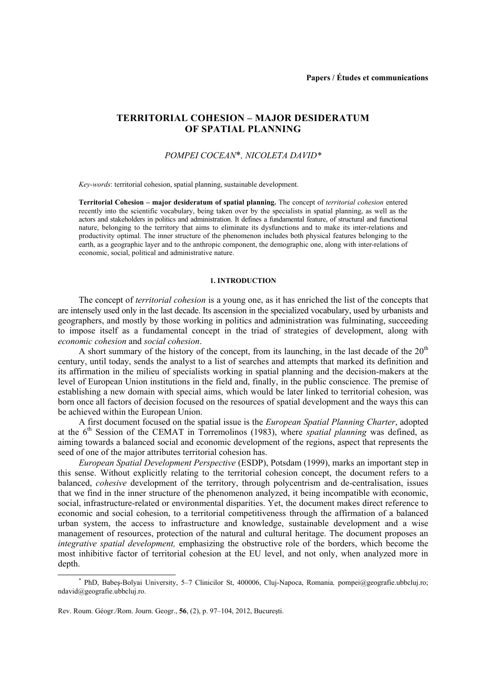# **TERRITORIAL COHESION – MAJOR DESIDERATUM OF SPATIAL PLANNING**

## *POMPEI COCEAN*\**, NICOLETA DAVID\**

*Key-words*: territorial cohesion, spatial planning, sustainable development.

**Territorial Cohesion – major desideratum of spatial planning.** The concept of *territorial cohesion* entered recently into the scientific vocabulary, being taken over by the specialists in spatial planning, as well as the actors and stakeholders in politics and administration. It defines a fundamental feature, of structural and functional nature, belonging to the territory that aims to eliminate its dysfunctions and to make its inter-relations and productivity optimal. The inner structure of the phenomenon includes both physical features belonging to the earth, as a geographic layer and to the anthropic component, the demographic one, along with inter-relations of economic, social, political and administrative nature.

### **1. INTRODUCTION**

The concept of *territorial cohesion* is a young one, as it has enriched the list of the concepts that are intensely used only in the last decade. Its ascension in the specialized vocabulary, used by urbanists and geographers, and mostly by those working in politics and administration was fulminating, succeeding to impose itself as a fundamental concept in the triad of strategies of development, along with *economic cohesion* and *social cohesion*.

A short summary of the history of the concept, from its launching, in the last decade of the  $20<sup>th</sup>$ century, until today, sends the analyst to a list of searches and attempts that marked its definition and its affirmation in the milieu of specialists working in spatial planning and the decision-makers at the level of European Union institutions in the field and, finally, in the public conscience. The premise of establishing a new domain with special aims, which would be later linked to territorial cohesion, was born once all factors of decision focused on the resources of spatial development and the ways this can be achieved within the European Union.

A first document focused on the spatial issue is the *European Spatial Planning Charter*, adopted at the  $6<sup>th</sup>$  Session of the CEMAT in Torremolinos (1983), where *spatial planning* was defined, as aiming towards a balanced social and economic development of the regions, aspect that represents the seed of one of the major attributes territorial cohesion has.

*European Spatial Development Perspective* (ESDP), Potsdam (1999), marks an important step in this sense. Without explicitly relating to the territorial cohesion concept, the document refers to a balanced, *cohesive* development of the territory, through polycentrism and de-centralisation, issues that we find in the inner structure of the phenomenon analyzed, it being incompatible with economic, social, infrastructure-related or environmental disparities. Yet, the document makes direct reference to economic and social cohesion, to a territorial competitiveness through the affirmation of a balanced urban system, the access to infrastructure and knowledge, sustainable development and a wise management of resources, protection of the natural and cultural heritage. The document proposes an *integrative spatial development,* emphasizing the obstructive role of the borders, which become the most inhibitive factor of territorial cohesion at the EU level, and not only, when analyzed more in depth.

 $\overline{\phantom{a}}$  PhD, Babeş-Bolyai University, 5–7 Clinicilor St, 400006, Cluj-Napoca, Romania*,* pompei@geografie.ubbcluj.ro; ndavid@geografie.ubbcluj.ro.

Rev. Roum. Géogr./Rom. Journ. Geogr., **56**, (2), p. 97–104, 2012, Bucureşti.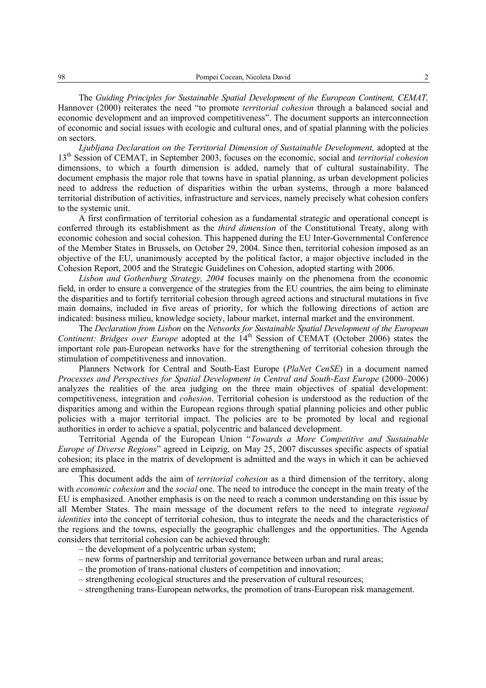The *Guiding Principles for Sustainable Spatial Development of the European Continent, CEMAT,*  Hannover (2000) reiterates the need "to promote *territorial cohesion* through a balanced social and economic development and an improved competitiveness". The document supports an interconnection of economic and social issues with ecologic and cultural ones, and of spatial planning with the policies on sectors.

*Ljubljana Declaration on the Territorial Dimension of Sustainable Development,* adopted at the 13th Session of CEMAT, in September 2003, focuses on the economic, social and *territorial cohesion* dimensions, to which a fourth dimension is added, namely that of cultural sustainability. The document emphasis the major role that towns have in spatial planning, as urban development policies need to address the reduction of disparities within the urban systems, through a more balanced territorial distribution of activities, infrastructure and services, namely precisely what cohesion confers to the systemic unit.

A first confirmation of territorial cohesion as a fundamental strategic and operational concept is conferred through its establishment as the *third dimension* of the Constitutional Treaty, along with economic cohesion and social cohesion. This happened during the EU Inter-Governmental Conference of the Member States in Brussels, on October 29, 2004. Since then, territorial cohesion imposed as an objective of the EU, unanimously accepted by the political factor, a major objective included in the Cohesion Report, 2005 and the Strategic Guidelines on Cohesion, adopted starting with 2006.

*Lisbon and Gothenburg Strategy, 2004* focuses mainly on the phenomena from the economic field, in order to ensure a convergence of the strategies from the EU countries, the aim being to eliminate the disparities and to fortify territorial cohesion through agreed actions and structural mutations in five main domains, included in five areas of priority, for which the following directions of action are indicated: business milieu, knowledge society, labour market, internal market and the environment.

The *Declaration from Lisbon* on the *Networks for Sustainable Spatial Development of the European Continent: Bridges over Europe* adopted at the 14<sup>th</sup> Session of CEMAT (October 2006) states the important role pan-European networks have for the strengthening of territorial cohesion through the stimulation of competitiveness and innovation.

Planners Network for Central and South-East Europe (*PlaNet CenSE*) in a document named *Processes and Perspectives for Spatial Development in Central and South-East Europe* (2000–2006) analyzes the realities of the area judging on the three main objectives of spatial development: competitiveness, integration and *cohesion*. Territorial cohesion is understood as the reduction of the disparities among and within the European regions through spatial planning policies and other public policies with a major territorial impact. The policies are to be promoted by local and regional authorities in order to achieve a spatial, polycentric and balanced development.

Territorial Agenda of the European Union "*Towards a More Competitive and Sustainable Europe of Diverse Regions*" agreed in Leipzig, on May 25, 2007 discusses specific aspects of spatial cohesion; its place in the matrix of development is admitted and the ways in which it can be achieved are emphasized.

This document adds the aim of *territorial cohesion* as a third dimension of the territory, along with *economic cohesion* and the *social* one. The need to introduce the concept in the main treaty of the EU is emphasized. Another emphasis is on the need to reach a common understanding on this issue by all Member States. The main message of the document refers to the need to integrate *regional identities* into the concept of territorial cohesion, thus to integrate the needs and the characteristics of the regions and the towns, especially the geographic challenges and the opportunities. The Agenda considers that territorial cohesion can be achieved through:

- the development of a polycentric urban system;
- new forms of partnership and territorial governance between urban and rural areas;
- the promotion of trans-national clusters of competition and innovation;
- strengthening ecological structures and the preservation of cultural resources;
- strengthening trans-European networks, the promotion of trans-European risk management.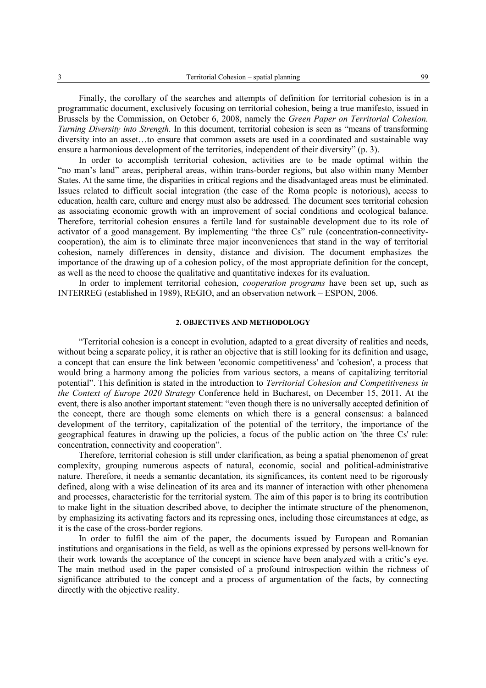Finally, the corollary of the searches and attempts of definition for territorial cohesion is in a programmatic document, exclusively focusing on territorial cohesion, being a true manifesto, issued in Brussels by the Commission, on October 6, 2008, namely the *Green Paper on Territorial Cohesion. Turning Diversity into Strength.* In this document, territorial cohesion is seen as "means of transforming" diversity into an asset…to ensure that common assets are used in a coordinated and sustainable way ensure a harmonious development of the territories, independent of their diversity" (p. 3).

In order to accomplish territorial cohesion, activities are to be made optimal within the "no man's land" areas, peripheral areas, within trans-border regions, but also within many Member States. At the same time, the disparities in critical regions and the disadvantaged areas must be eliminated. Issues related to difficult social integration (the case of the Roma people is notorious), access to education, health care, culture and energy must also be addressed. The document sees territorial cohesion as associating economic growth with an improvement of social conditions and ecological balance. Therefore, territorial cohesion ensures a fertile land for sustainable development due to its role of activator of a good management. By implementing "the three Cs" rule (concentration-connectivitycooperation), the aim is to eliminate three major inconveniences that stand in the way of territorial cohesion, namely differences in density, distance and division. The document emphasizes the importance of the drawing up of a cohesion policy, of the most appropriate definition for the concept, as well as the need to choose the qualitative and quantitative indexes for its evaluation.

In order to implement territorial cohesion, *cooperation programs* have been set up, such as INTERREG (established in 1989), REGIO, and an observation network – ESPON, 2006.

### **2. OBJECTIVES AND METHODOLOGY**

"Territorial cohesion is a concept in evolution, adapted to a great diversity of realities and needs, without being a separate policy, it is rather an objective that is still looking for its definition and usage, a concept that can ensure the link between 'economic competitiveness' and 'cohesion', a process that would bring a harmony among the policies from various sectors, a means of capitalizing territorial potential". This definition is stated in the introduction to *Territorial Cohesion and Competitiveness in the Context of Europe 2020 Strategy* Conference held in Bucharest, on December 15, 2011. At the event, there is also another important statement: "even though there is no universally accepted definition of the concept, there are though some elements on which there is a general consensus: a balanced development of the territory, capitalization of the potential of the territory, the importance of the geographical features in drawing up the policies, a focus of the public action on 'the three Cs' rule: concentration, connectivity and cooperation".

Therefore, territorial cohesion is still under clarification, as being a spatial phenomenon of great complexity, grouping numerous aspects of natural, economic, social and political-administrative nature. Therefore, it needs a semantic decantation, its significances, its content need to be rigorously defined, along with a wise delineation of its area and its manner of interaction with other phenomena and processes, characteristic for the territorial system. The aim of this paper is to bring its contribution to make light in the situation described above, to decipher the intimate structure of the phenomenon, by emphasizing its activating factors and its repressing ones, including those circumstances at edge, as it is the case of the cross-border regions.

In order to fulfil the aim of the paper, the documents issued by European and Romanian institutions and organisations in the field, as well as the opinions expressed by persons well-known for their work towards the acceptance of the concept in science have been analyzed with a critic's eye. The main method used in the paper consisted of a profound introspection within the richness of significance attributed to the concept and a process of argumentation of the facts, by connecting directly with the objective reality.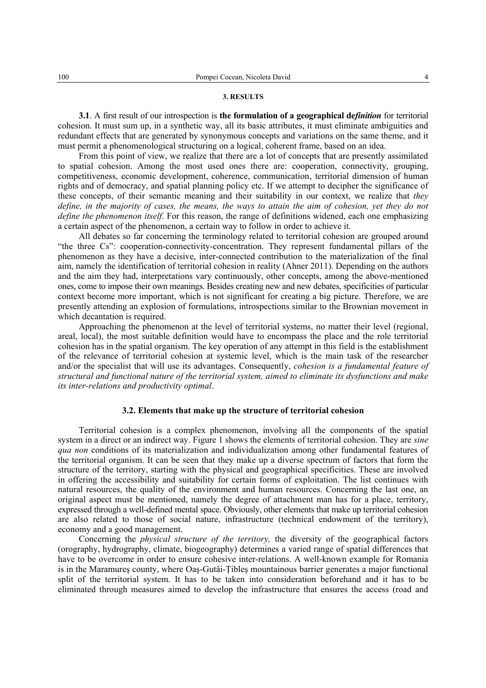#### **3. RESULTS**

**3.1**. A first result of our introspection is **the formulation of a geographical de***finition* for territorial cohesion. It must sum up, in a synthetic way, all its basic attributes, it must eliminate ambiguities and redundant effects that are generated by synonymous concepts and variations on the same theme, and it must permit a phenomenological structuring on a logical, coherent frame, based on an idea.

From this point of view, we realize that there are a lot of concepts that are presently assimilated to spatial cohesion. Among the most used ones there are: cooperation, connectivity, grouping, competitiveness, economic development, coherence, communication, territorial dimension of human rights and of democracy, and spatial planning policy etc. If we attempt to decipher the significance of these concepts, of their semantic meaning and their suitability in our context, we realize that *they define, in the majority of cases, the means, the ways to attain the aim of cohesion, yet they do not define the phenomenon itself*. For this reason, the range of definitions widened, each one emphasizing a certain aspect of the phenomenon, a certain way to follow in order to achieve it.

All debates so far concerning the terminology related to territorial cohesion are grouped around "the three Cs": cooperation-connectivity-concentration. They represent fundamental pillars of the phenomenon as they have a decisive, inter-connected contribution to the materialization of the final aim, namely the identification of territorial cohesion in reality (Ahner 2011). Depending on the authors and the aim they had, interpretations vary continuously, other concepts, among the above-mentioned ones, come to impose their own meanings. Besides creating new and new debates, specificities of particular context become more important, which is not significant for creating a big picture. Therefore, we are presently attending an explosion of formulations, introspections similar to the Brownian movement in which decantation is required.

Approaching the phenomenon at the level of territorial systems, no matter their level (regional, areal, local), the most suitable definition would have to encompass the place and the role territorial cohesion has in the spatial organism. The key operation of any attempt in this field is the establishment of the relevance of territorial cohesion at systemic level, which is the main task of the researcher and/or the specialist that will use its advantages. Consequently, *cohesion is a fundamental feature of structural and functional nature of the territorial system, aimed to eliminate its dysfunctions and make its inter-relations and productivity optimal*.

### **3.2. Elements that make up the structure of territorial cohesion**

Territorial cohesion is a complex phenomenon, involving all the components of the spatial system in a direct or an indirect way. Figure 1 shows the elements of territorial cohesion. They are *sine qua non* conditions of its materialization and individualization among other fundamental features of the territorial organism. It can be seen that they make up a diverse spectrum of factors that form the structure of the territory, starting with the physical and geographical specificities. These are involved in offering the accessibility and suitability for certain forms of exploitation. The list continues with natural resources, the quality of the environment and human resources. Concerning the last one, an original aspect must be mentioned, namely the degree of attachment man has for a place, territory, expressed through a well-defined mental space. Obviously, other elements that make up territorial cohesion are also related to those of social nature, infrastructure (technical endowment of the territory), economy and a good management.

Concerning the *physical structure of the territory,* the diversity of the geographical factors (orography, hydrography, climate, biogeography) determines a varied range of spatial differences that have to be overcome in order to ensure cohesive inter-relations. A well-known example for Romania is in the Maramureş county, where Oaş-Gutâi-Ţibleş mountainous barrier generates a major functional split of the territorial system. It has to be taken into consideration beforehand and it has to be eliminated through measures aimed to develop the infrastructure that ensures the access (road and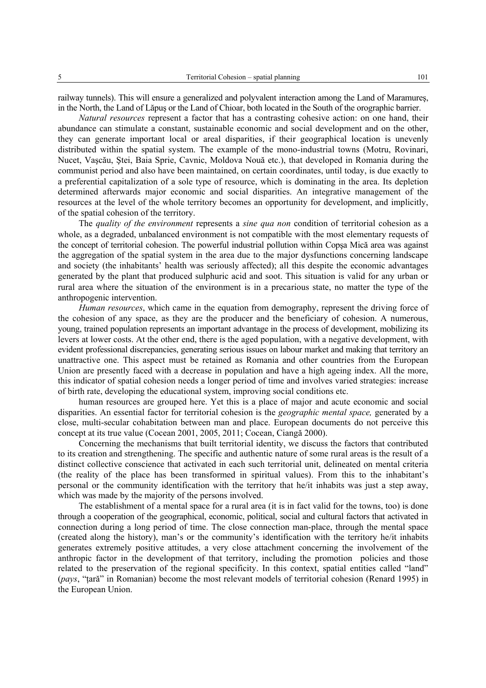railway tunnels). This will ensure a generalized and polyvalent interaction among the Land of Maramureş, in the North, the Land of Lăpuş or the Land of Chioar, both located in the South of the orographic barrier.

*Natural resources* represent a factor that has a contrasting cohesive action: on one hand, their abundance can stimulate a constant, sustainable economic and social development and on the other, they can generate important local or areal disparities, if their geographical location is unevenly distributed within the spatial system. The example of the mono-industrial towns (Motru, Rovinari, Nucet, Vaşcău, Ştei, Baia Sprie, Cavnic, Moldova Nouă etc.), that developed in Romania during the communist period and also have been maintained, on certain coordinates, until today, is due exactly to a preferential capitalization of a sole type of resource, which is dominating in the area. Its depletion determined afterwards major economic and social disparities. An integrative management of the resources at the level of the whole territory becomes an opportunity for development, and implicitly, of the spatial cohesion of the territory.

The *quality of the environment* represents a *sine qua non* condition of territorial cohesion as a whole, as a degraded, unbalanced environment is not compatible with the most elementary requests of the concept of territorial cohesion. The powerful industrial pollution within Copşa Mică area was against the aggregation of the spatial system in the area due to the major dysfunctions concerning landscape and society (the inhabitants' health was seriously affected); all this despite the economic advantages generated by the plant that produced sulphuric acid and soot. This situation is valid for any urban or rural area where the situation of the environment is in a precarious state, no matter the type of the anthropogenic intervention.

*Human resources*, which came in the equation from demography, represent the driving force of the cohesion of any space, as they are the producer and the beneficiary of cohesion. A numerous, young, trained population represents an important advantage in the process of development, mobilizing its levers at lower costs. At the other end, there is the aged population, with a negative development, with evident professional discrepancies, generating serious issues on labour market and making that territory an unattractive one. This aspect must be retained as Romania and other countries from the European Union are presently faced with a decrease in population and have a high ageing index. All the more, this indicator of spatial cohesion needs a longer period of time and involves varied strategies: increase of birth rate, developing the educational system, improving social conditions etc.

human resources are grouped here. Yet this is a place of major and acute economic and social disparities. An essential factor for territorial cohesion is the *geographic mental space,* generated by a close, multi-secular cohabitation between man and place. European documents do not perceive this concept at its true value (Cocean 2001, 2005, 2011; Cocean, Ciangă 2000).

Concerning the mechanisms that built territorial identity, we discuss the factors that contributed to its creation and strengthening. The specific and authentic nature of some rural areas is the result of a distinct collective conscience that activated in each such territorial unit, delineated on mental criteria (the reality of the place has been transformed in spiritual values). From this to the inhabitant's personal or the community identification with the territory that he/it inhabits was just a step away, which was made by the majority of the persons involved.

The establishment of a mental space for a rural area (it is in fact valid for the towns, too) is done through a cooperation of the geographical, economic, political, social and cultural factors that activated in connection during a long period of time. The close connection man-place, through the mental space (created along the history), man's or the community's identification with the territory he/it inhabits generates extremely positive attitudes, a very close attachment concerning the involvement of the anthropic factor in the development of that territory, including the promotion policies and those related to the preservation of the regional specificity. In this context, spatial entities called "land" (*pays*, "ţară" in Romanian) become the most relevant models of territorial cohesion (Renard 1995) in the European Union.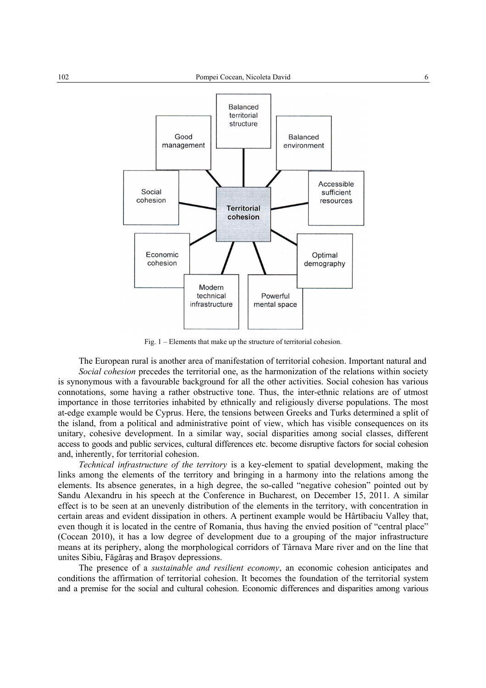

Fig. 1 – Elements that make up the structure of territorial cohesion.

The European rural is another area of manifestation of territorial cohesion. Important natural and

*Social cohesion* precedes the territorial one, as the harmonization of the relations within society is synonymous with a favourable background for all the other activities. Social cohesion has various connotations, some having a rather obstructive tone. Thus, the inter-ethnic relations are of utmost importance in those territories inhabited by ethnically and religiously diverse populations. The most at-edge example would be Cyprus. Here, the tensions between Greeks and Turks determined a split of the island, from a political and administrative point of view, which has visible consequences on its unitary, cohesive development. In a similar way, social disparities among social classes, different access to goods and public services, cultural differences etc. become disruptive factors for social cohesion and, inherently, for territorial cohesion.

*Technical infrastructure of the territory* is a key-element to spatial development, making the links among the elements of the territory and bringing in a harmony into the relations among the elements. Its absence generates, in a high degree, the so-called "negative cohesion" pointed out by Sandu Alexandru in his speech at the Conference in Bucharest, on December 15, 2011. A similar effect is to be seen at an unevenly distribution of the elements in the territory, with concentration in certain areas and evident dissipation in others. A pertinent example would be Hârtibaciu Valley that, even though it is located in the centre of Romania, thus having the envied position of "central place" (Cocean 2010), it has a low degree of development due to a grouping of the major infrastructure means at its periphery, along the morphological corridors of Târnava Mare river and on the line that unites Sibiu, Făgăraş and Braşov depressions.

The presence of a *sustainable and resilient economy*, an economic cohesion anticipates and conditions the affirmation of territorial cohesion. It becomes the foundation of the territorial system and a premise for the social and cultural cohesion. Economic differences and disparities among various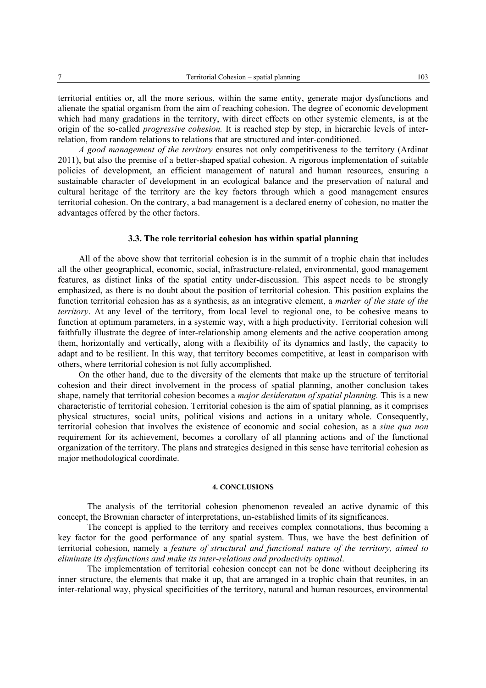territorial entities or, all the more serious, within the same entity, generate major dysfunctions and alienate the spatial organism from the aim of reaching cohesion. The degree of economic development which had many gradations in the territory, with direct effects on other systemic elements, is at the origin of the so-called *progressive cohesion.* It is reached step by step, in hierarchic levels of interrelation, from random relations to relations that are structured and inter-conditioned.

*A good management of the territory* ensures not only competitiveness to the territory (Ardinat 2011), but also the premise of a better-shaped spatial cohesion. A rigorous implementation of suitable policies of development, an efficient management of natural and human resources, ensuring a sustainable character of development in an ecological balance and the preservation of natural and cultural heritage of the territory are the key factors through which a good management ensures territorial cohesion. On the contrary, a bad management is a declared enemy of cohesion, no matter the advantages offered by the other factors.

### **3.3. The role territorial cohesion has within spatial planning**

All of the above show that territorial cohesion is in the summit of a trophic chain that includes all the other geographical, economic, social, infrastructure-related, environmental, good management features, as distinct links of the spatial entity under-discussion. This aspect needs to be strongly emphasized, as there is no doubt about the position of territorial cohesion. This position explains the function territorial cohesion has as a synthesis, as an integrative element, a *marker of the state of the territory*. At any level of the territory, from local level to regional one, to be cohesive means to function at optimum parameters, in a systemic way, with a high productivity. Territorial cohesion will faithfully illustrate the degree of inter-relationship among elements and the active cooperation among them, horizontally and vertically, along with a flexibility of its dynamics and lastly, the capacity to adapt and to be resilient. In this way, that territory becomes competitive, at least in comparison with others, where territorial cohesion is not fully accomplished.

On the other hand, due to the diversity of the elements that make up the structure of territorial cohesion and their direct involvement in the process of spatial planning, another conclusion takes shape, namely that territorial cohesion becomes a *major desideratum of spatial planning.* This is a new characteristic of territorial cohesion. Territorial cohesion is the aim of spatial planning, as it comprises physical structures, social units, political visions and actions in a unitary whole. Consequently, territorial cohesion that involves the existence of economic and social cohesion, as a *sine qua non* requirement for its achievement, becomes a corollary of all planning actions and of the functional organization of the territory. The plans and strategies designed in this sense have territorial cohesion as major methodological coordinate.

### **4. CONCLUSIONS**

The analysis of the territorial cohesion phenomenon revealed an active dynamic of this concept, the Brownian character of interpretations, un-established limits of its significances.

The concept is applied to the territory and receives complex connotations, thus becoming a key factor for the good performance of any spatial system. Thus, we have the best definition of territorial cohesion, namely a *feature of structural and functional nature of the territory, aimed to eliminate its dysfunctions and make its inter-relations and productivity optimal*.

The implementation of territorial cohesion concept can not be done without deciphering its inner structure, the elements that make it up, that are arranged in a trophic chain that reunites, in an inter-relational way, physical specificities of the territory, natural and human resources, environmental